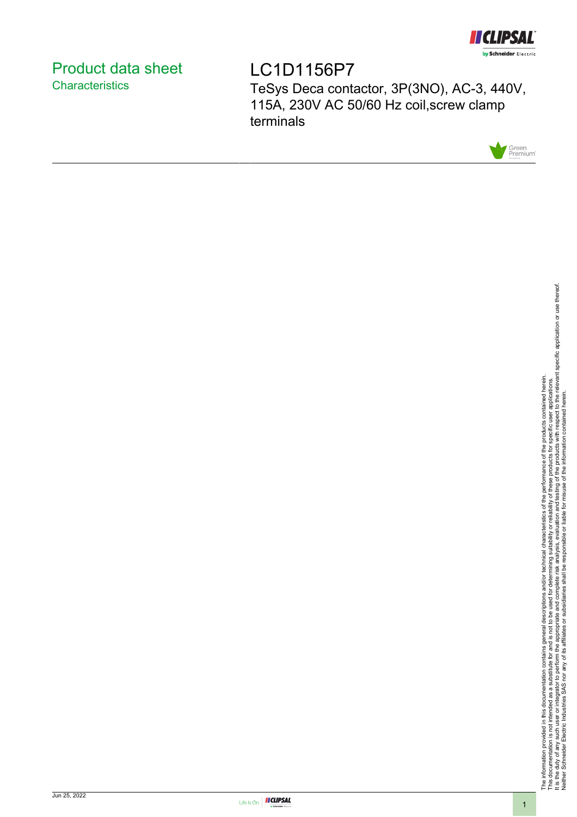

# <span id="page-0-0"></span>Product data sheet **Characteristics**

LC1D1156P7 TeSys Deca contactor, 3P(3NO), AC-3, 440V, 115A, 230V AC 50/60 Hz coil,screw clamp terminals



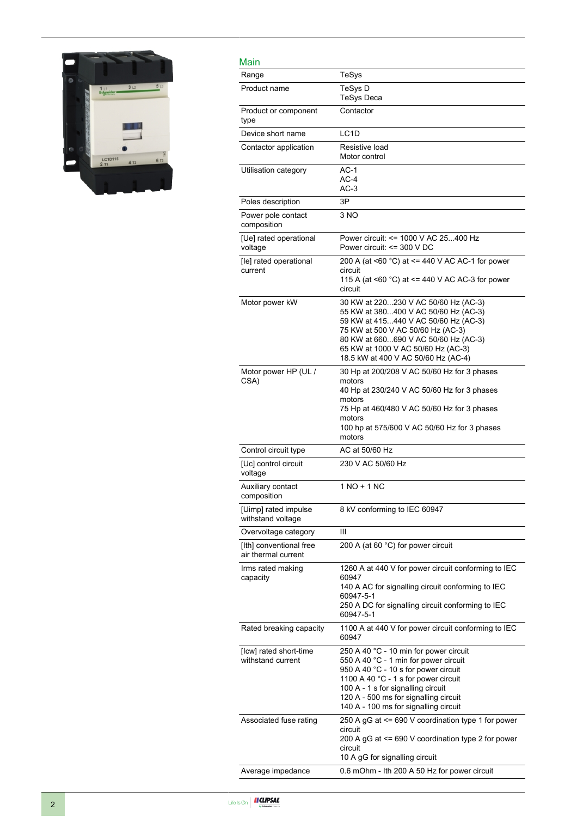

| Main                                           |                                                                                                                                                                                                                                                                                         |
|------------------------------------------------|-----------------------------------------------------------------------------------------------------------------------------------------------------------------------------------------------------------------------------------------------------------------------------------------|
| Range                                          | TeSys                                                                                                                                                                                                                                                                                   |
| Product name                                   | TeSys D<br><b>TeSys Deca</b>                                                                                                                                                                                                                                                            |
| Product or component<br>type                   | Contactor                                                                                                                                                                                                                                                                               |
| Device short name                              | LC <sub>1</sub> D                                                                                                                                                                                                                                                                       |
| Contactor application                          | Resistive load<br>Motor control                                                                                                                                                                                                                                                         |
| Utilisation category                           | $AC-1$<br>$AC-4$<br>$AC-3$                                                                                                                                                                                                                                                              |
| Poles description                              | 3P                                                                                                                                                                                                                                                                                      |
| Power pole contact<br>composition              | 3 NO                                                                                                                                                                                                                                                                                    |
| [Ue] rated operational<br>voltage              | Power circuit: <= 1000 V AC 25400 Hz<br>Power circuit: <= 300 V DC                                                                                                                                                                                                                      |
| [le] rated operational<br>current              | 200 A (at <60 °C) at <= 440 V AC AC-1 for power<br>circuit<br>115 A (at $\leq 60$ °C) at $\leq$ 440 V AC AC-3 for power<br>circuit                                                                                                                                                      |
| Motor power kW                                 | 30 KW at 220230 V AC 50/60 Hz (AC-3)<br>55 KW at 380400 V AC 50/60 Hz (AC-3)<br>59 KW at 415440 V AC 50/60 Hz (AC-3)<br>75 KW at 500 V AC 50/60 Hz (AC-3)<br>80 KW at 660690 V AC 50/60 Hz (AC-3)<br>65 KW at 1000 V AC 50/60 Hz (AC-3)<br>18.5 kW at 400 V AC 50/60 Hz (AC-4)          |
| Motor power HP (UL /<br>CSA)                   | 30 Hp at 200/208 V AC 50/60 Hz for 3 phases<br>motors<br>40 Hp at 230/240 V AC 50/60 Hz for 3 phases<br>motors<br>75 Hp at 460/480 V AC 50/60 Hz for 3 phases<br>motors<br>100 hp at 575/600 V AC 50/60 Hz for 3 phases<br>motors                                                       |
| Control circuit type                           | AC at 50/60 Hz                                                                                                                                                                                                                                                                          |
| [Uc] control circuit<br>voltage                | 230 V AC 50/60 Hz                                                                                                                                                                                                                                                                       |
| Auxiliary contact<br>composition               | 1 NO + 1 NC                                                                                                                                                                                                                                                                             |
| [Uimp] rated impulse<br>withstand voltage      | 8 kV conforming to IEC 60947                                                                                                                                                                                                                                                            |
| Overvoltage category                           | Ш                                                                                                                                                                                                                                                                                       |
| [Ith] conventional free<br>air thermal current | 200 A (at 60 °C) for power circuit                                                                                                                                                                                                                                                      |
| Irms rated making<br>capacity                  | 1260 A at 440 V for power circuit conforming to IEC<br>60947<br>140 A AC for signalling circuit conforming to IEC<br>60947-5-1<br>250 A DC for signalling circuit conforming to IEC<br>60947-5-1                                                                                        |
| Rated breaking capacity                        | 1100 A at 440 V for power circuit conforming to IEC<br>60947                                                                                                                                                                                                                            |
| [Icw] rated short-time<br>withstand current    | 250 A 40 °C - 10 min for power circuit<br>550 A 40 °C - 1 min for power circuit<br>950 A 40 °C - 10 s for power circuit<br>1100 A 40 °C - 1 s for power circuit<br>100 A - 1 s for signalling circuit<br>120 A - 500 ms for signalling circuit<br>140 A - 100 ms for signalling circuit |
| Associated fuse rating                         | 250 A gG at <= 690 V coordination type 1 for power<br>circuit<br>200 A gG at <= 690 V coordination type 2 for power<br>circuit<br>10 A gG for signalling circuit                                                                                                                        |
| Average impedance                              | 0.6 mOhm - Ith 200 A 50 Hz for power circuit                                                                                                                                                                                                                                            |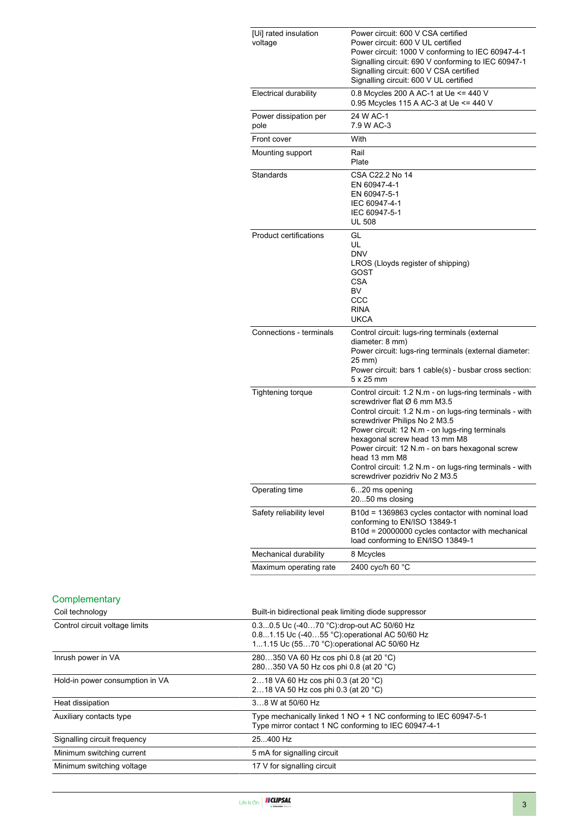| [Ui] rated insulation<br>voltage | Power circuit: 600 V CSA certified<br>Power circuit: 600 V UL certified<br>Power circuit: 1000 V conforming to IEC 60947-4-1<br>Signalling circuit: 690 V conforming to IEC 60947-1<br>Signalling circuit: 600 V CSA certified<br>Signalling circuit: 600 V UL certified                                                                                                                                                                   |
|----------------------------------|--------------------------------------------------------------------------------------------------------------------------------------------------------------------------------------------------------------------------------------------------------------------------------------------------------------------------------------------------------------------------------------------------------------------------------------------|
| Electrical durability            | 0.8 Mcycles 200 A AC-1 at Ue <= 440 V<br>0.95 Mcycles 115 A AC-3 at Ue <= 440 V                                                                                                                                                                                                                                                                                                                                                            |
| Power dissipation per<br>pole    | 24 W AC-1<br>7.9 W AC-3                                                                                                                                                                                                                                                                                                                                                                                                                    |
| Front cover                      | With                                                                                                                                                                                                                                                                                                                                                                                                                                       |
| Mounting support                 | Rail<br>Plate                                                                                                                                                                                                                                                                                                                                                                                                                              |
| Standards                        | CSA C22.2 No 14<br>EN 60947-4-1<br>EN 60947-5-1<br>IEC 60947-4-1<br>IEC 60947-5-1<br><b>UL 508</b>                                                                                                                                                                                                                                                                                                                                         |
| <b>Product certifications</b>    | GL<br>UL<br><b>DNV</b><br>LROS (Lloyds register of shipping)<br>GOST<br><b>CSA</b><br>BV<br>CCC<br><b>RINA</b><br><b>UKCA</b>                                                                                                                                                                                                                                                                                                              |
| Connections - terminals          | Control circuit: lugs-ring terminals (external<br>diameter: 8 mm)<br>Power circuit: lugs-ring terminals (external diameter:<br>25 mm)<br>Power circuit: bars 1 cable(s) - busbar cross section:<br>$5 \times 25$ mm                                                                                                                                                                                                                        |
| <b>Tightening torque</b>         | Control circuit: 1.2 N.m - on lugs-ring terminals - with<br>screwdriver flat Ø 6 mm M3.5<br>Control circuit: 1.2 N.m - on lugs-ring terminals - with<br>screwdriver Philips No 2 M3.5<br>Power circuit: 12 N.m - on lugs-ring terminals<br>hexagonal screw head 13 mm M8<br>Power circuit: 12 N.m - on bars hexagonal screw<br>head 13 mm M8<br>Control circuit: 1.2 N.m - on lugs-ring terminals - with<br>screwdriver pozidriv No 2 M3.5 |
| Operating time                   | 620 ms opening<br>2050 ms closing                                                                                                                                                                                                                                                                                                                                                                                                          |
| Safety reliability level         | B10d = 1369863 cycles contactor with nominal load<br>conforming to EN/ISO 13849-1<br>B10d = 20000000 cycles contactor with mechanical<br>load conforming to EN/ISO 13849-1                                                                                                                                                                                                                                                                 |
| Mechanical durability            | 8 Mcycles                                                                                                                                                                                                                                                                                                                                                                                                                                  |
| Maximum operating rate           | 2400 cyc/h 60 °C                                                                                                                                                                                                                                                                                                                                                                                                                           |

### **Complementary**

| Coil technology                 | Built-in bidirectional peak limiting diode suppressor                                                                                      |
|---------------------------------|--------------------------------------------------------------------------------------------------------------------------------------------|
| Control circuit voltage limits  | 0.30.5 Uc (-4070 °C) drop-out AC 50/60 Hz<br>0.81.15 Uc (-4055 °C): operational AC 50/60 Hz<br>11.15 Uc (5570 °C): operational AC 50/60 Hz |
| Inrush power in VA              | 280350 VA 60 Hz cos phi 0.8 (at 20 °C)<br>280350 VA 50 Hz cos phi 0.8 (at 20 °C)                                                           |
| Hold-in power consumption in VA | 218 VA 60 Hz cos phi 0.3 (at 20 °C)<br>218 VA 50 Hz cos phi 0.3 (at 20 °C)                                                                 |
| Heat dissipation                | 38 W at 50/60 Hz                                                                                                                           |
| Auxiliary contacts type         | Type mechanically linked 1 NO + 1 NC conforming to IEC 60947-5-1<br>Type mirror contact 1 NC conforming to IEC 60947-4-1                   |
| Signalling circuit frequency    | 25400 Hz                                                                                                                                   |
| Minimum switching current       | 5 mA for signalling circuit                                                                                                                |
| Minimum switching voltage       | 17 V for signalling circuit                                                                                                                |